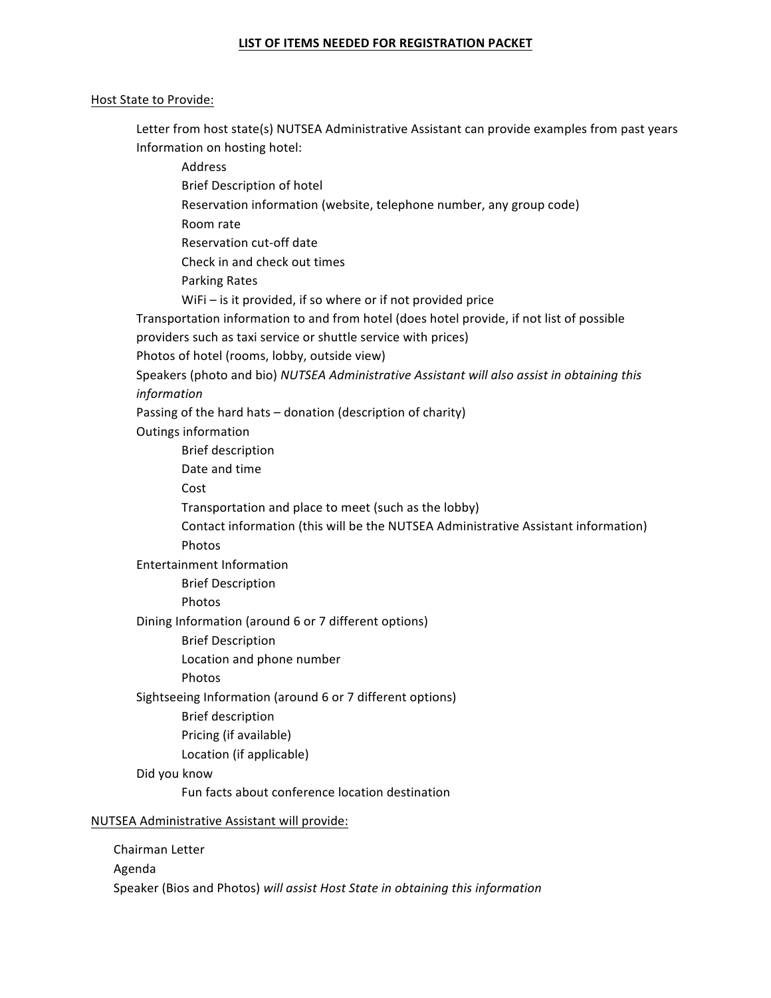## LIST OF ITEMS NEEDED FOR REGISTRATION PACKET

### Host State to Provide:

Letter from host state(s) NUTSEA Administrative Assistant can provide examples from past years Information on hosting hotel:

 Address **Brief Description of hotel** Reservation information (website, telephone number, any group code) Room rate Reservation cut-off date Check in and check out times Parking Rates WiFi – is it provided, if so where or if not provided price Transportation information to and from hotel (does hotel provide, if not list of possible providers such as taxi service or shuttle service with prices) Photos of hotel (rooms, lobby, outside view) Speakers (photo and bio) *NUTSEA Administrative Assistant will also assist in obtaining this information* Passing of the hard hats  $-$  donation (description of charity) Outings information **Brief description** Date and time Cost Transportation and place to meet (such as the lobby) Contact information (this will be the NUTSEA Administrative Assistant information) Photos Entertainment Information **Brief Description**  Photos Dining Information (around 6 or 7 different options) **Brief Description** Location and phone number Photos Sightseeing Information (around 6 or 7 different options) **Brief description** Pricing (if available) Location (if applicable) Did you know Fun facts about conference location destination NUTSEA Administrative Assistant will provide: Chairman Letter

 Agenda Speaker (Bios and Photos) will assist Host State in obtaining this information